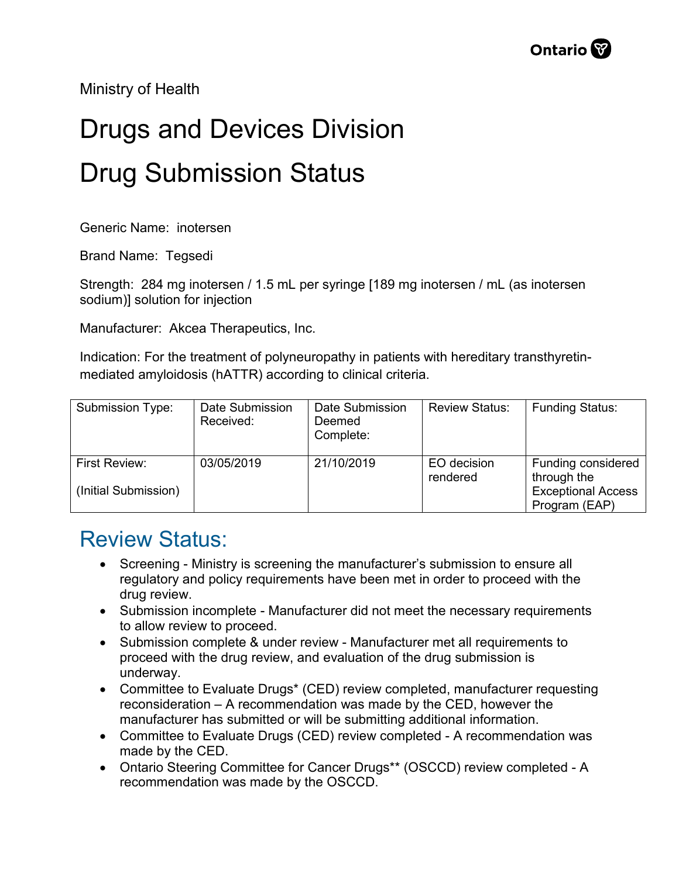Ministry of Health

## Drugs and Devices Division Drug Submission Status

Generic Name: inotersen

Brand Name: Tegsedi

Strength: 284 mg inotersen / 1.5 mL per syringe [189 mg inotersen / mL (as inotersen sodium)] solution for injection

Manufacturer: Akcea Therapeutics, Inc.

Indication: For the treatment of polyneuropathy in patients with hereditary transthyretinmediated amyloidosis (hATTR) according to clinical criteria.

| Submission Type:                      | Date Submission<br>Received: | Date Submission<br>Deemed<br>Complete: | <b>Review Status:</b>   | <b>Funding Status:</b>                                                          |
|---------------------------------------|------------------------------|----------------------------------------|-------------------------|---------------------------------------------------------------------------------|
| First Review:<br>(Initial Submission) | 03/05/2019                   | 21/10/2019                             | EO decision<br>rendered | Funding considered<br>through the<br><b>Exceptional Access</b><br>Program (EAP) |

## Review Status:

- Screening Ministry is screening the manufacturer's submission to ensure all regulatory and policy requirements have been met in order to proceed with the drug review.
- Submission incomplete Manufacturer did not meet the necessary requirements to allow review to proceed.
- Submission complete & under review Manufacturer met all requirements to proceed with the drug review, and evaluation of the drug submission is underway.
- Committee to Evaluate Drugs\* (CED) review completed, manufacturer requesting reconsideration – A recommendation was made by the CED, however the manufacturer has submitted or will be submitting additional information.
- Committee to Evaluate Drugs (CED) review completed A recommendation was made by the CED.
- Ontario Steering Committee for Cancer Drugs\*\* (OSCCD) review completed A recommendation was made by the OSCCD.